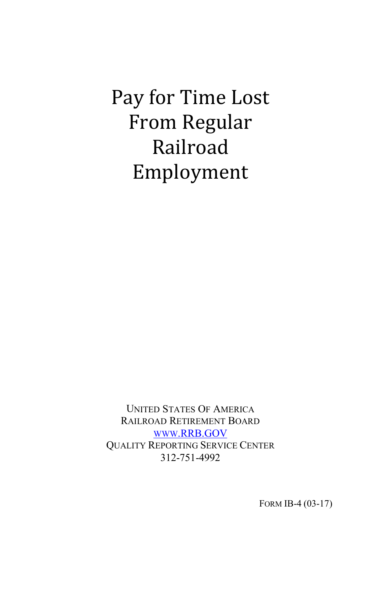Pay for Time Lost From Regular Railroad Employment

UNITED STATES OF AMERICA RAILROAD RETIREMENT BOARD [WWW.RRB.GOV](http://www.rrb.gov/) QUALITY REPORTING SERVICE CENTER 312-751-4992

FORM IB-4 (03-17)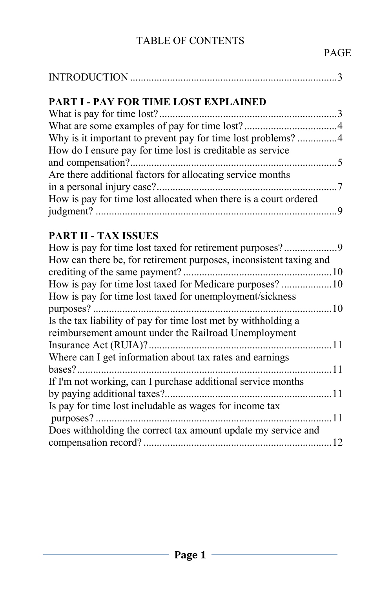# TABLE OF CONTENTS

| <b>PART I - PAY FOR TIME LOST EXPLAINED</b>                          |  |
|----------------------------------------------------------------------|--|
|                                                                      |  |
|                                                                      |  |
| Why is it important to prevent pay for time lost problems? 4         |  |
| How do I ensure pay for time lost is creditable as service           |  |
|                                                                      |  |
| Are there additional factors for allocating service months           |  |
|                                                                      |  |
| How is pay for time lost allocated when there is a court ordered     |  |
|                                                                      |  |
|                                                                      |  |
| <b>PART II - TAX ISSUES</b>                                          |  |
| How is pay for time lost taxed for retirement purposes?9             |  |
| How can there be, for retirement purposes, inconsistent taxing and   |  |
|                                                                      |  |
| How is pay for time lost taxed for Medicare purposes? 10             |  |
| How is pay for time lost taxed for unemployment/sickness             |  |
|                                                                      |  |
| Is the tax liability of pay for time lost met by withholding a       |  |
| reimbursement amount under the Railroad Unemployment                 |  |
|                                                                      |  |
| Where can I get information about tax rates and earnings             |  |
|                                                                      |  |
| If I'm not working, can I purchase additional service months         |  |
|                                                                      |  |
| Is pay for time lost includable as wages for income tax<br>$\sim$ 11 |  |
|                                                                      |  |
| Does withholding the correct tax amount update my service and        |  |
|                                                                      |  |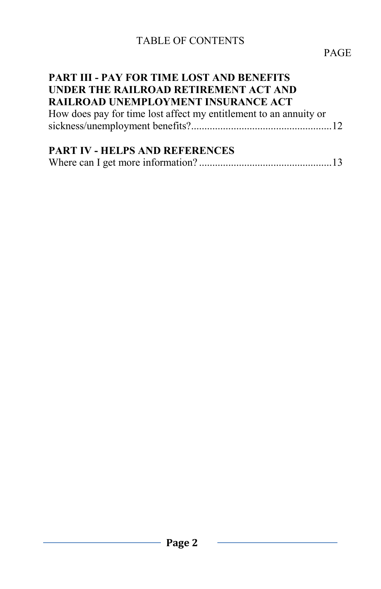## TABLE OF CONTENTS

#### **PART III - PAY FOR TIME LOST AND BENEFITS UNDER THE RAILROAD RETIREMENT ACT AND RAILROAD UNEMPLOYMENT INSURANCE ACT**

| How does pay for time lost affect my entitlement to an annuity or |  |
|-------------------------------------------------------------------|--|
|                                                                   |  |

## **PART IV - HELPS AND REFERENCES**

|--|--|--|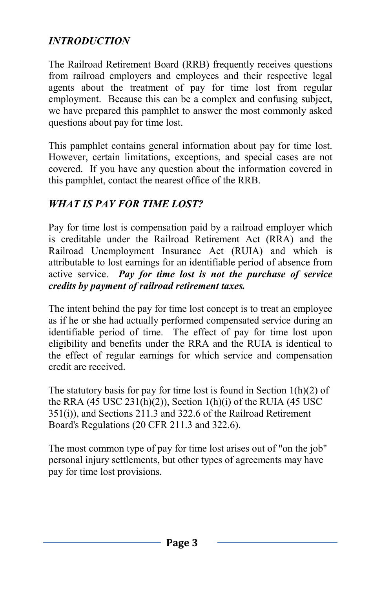## *INTRODUCTION*

The Railroad Retirement Board (RRB) frequently receives questions from railroad employers and employees and their respective legal agents about the treatment of pay for time lost from regular employment. Because this can be a complex and confusing subject, we have prepared this pamphlet to answer the most commonly asked questions about pay for time lost.

This pamphlet contains general information about pay for time lost. However, certain limitations, exceptions, and special cases are not covered. If you have any question about the information covered in this pamphlet, contact the nearest office of the RRB.

## *WHAT IS PAY FOR TIME LOST?*

Pay for time lost is compensation paid by a railroad employer which is creditable under the Railroad Retirement Act (RRA) and the Railroad Unemployment Insurance Act (RUIA) and which is attributable to lost earnings for an identifiable period of absence from active service. *Pay for time lost is not the purchase of service credits by payment of railroad retirement taxes.*

The intent behind the pay for time lost concept is to treat an employee as if he or she had actually performed compensated service during an identifiable period of time. The effect of pay for time lost upon eligibility and benefits under the RRA and the RUIA is identical to the effect of regular earnings for which service and compensation credit are received.

The statutory basis for pay for time lost is found in Section  $1(h)(2)$  of the RRA  $(45 \text{ USC } 231(h)(2))$ , Section  $1(h)(i)$  of the RUIA  $(45 \text{ USC } 231(h)(2))$ 351(i)), and Sections 211.3 and 322.6 of the Railroad Retirement Board's Regulations (20 CFR 211.3 and 322.6).

The most common type of pay for time lost arises out of "on the job" personal injury settlements, but other types of agreements may have pay for time lost provisions.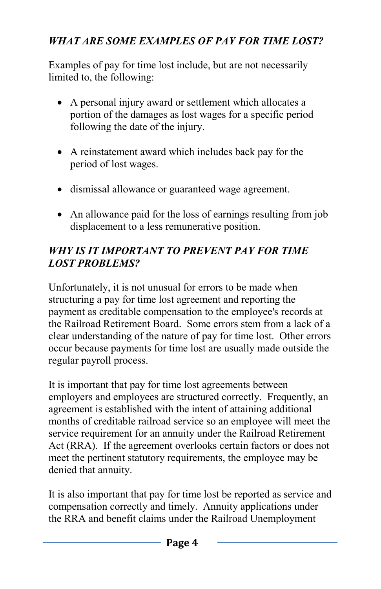# *WHAT ARE SOME EXAMPLES OF PAY FOR TIME LOST?*

Examples of pay for time lost include, but are not necessarily limited to, the following:

- A personal injury award or settlement which allocates a portion of the damages as lost wages for a specific period following the date of the injury.
- A reinstatement award which includes back pay for the period of lost wages.
- dismissal allowance or guaranteed wage agreement.
- An allowance paid for the loss of earnings resulting from job displacement to a less remunerative position.

## *WHY IS IT IMPORTANT TO PREVENT PAY FOR TIME LOST PROBLEMS?*

Unfortunately, it is not unusual for errors to be made when structuring a pay for time lost agreement and reporting the payment as creditable compensation to the employee's records at the Railroad Retirement Board. Some errors stem from a lack of a clear understanding of the nature of pay for time lost. Other errors occur because payments for time lost are usually made outside the regular payroll process.

It is important that pay for time lost agreements between employers and employees are structured correctly. Frequently, an agreement is established with the intent of attaining additional months of creditable railroad service so an employee will meet the service requirement for an annuity under the Railroad Retirement Act (RRA). If the agreement overlooks certain factors or does not meet the pertinent statutory requirements, the employee may be denied that annuity.

It is also important that pay for time lost be reported as service and compensation correctly and timely. Annuity applications under the RRA and benefit claims under the Railroad Unemployment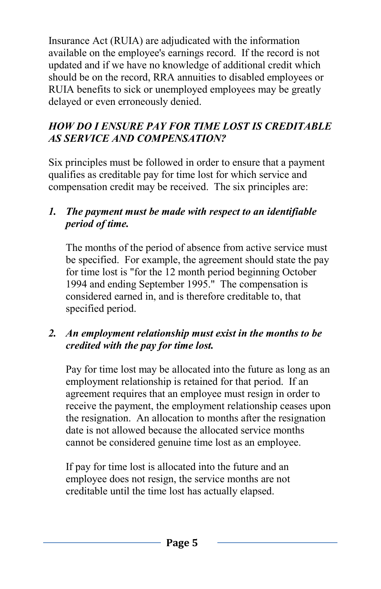Insurance Act (RUIA) are adjudicated with the information available on the employee's earnings record. If the record is not updated and if we have no knowledge of additional credit which should be on the record, RRA annuities to disabled employees or RUIA benefits to sick or unemployed employees may be greatly delayed or even erroneously denied.

### *HOW DO I ENSURE PAY FOR TIME LOST IS CREDITABLE AS SERVICE AND COMPENSATION?*

Six principles must be followed in order to ensure that a payment qualifies as creditable pay for time lost for which service and compensation credit may be received. The six principles are:

#### *1. The payment must be made with respect to an identifiable period of time.*

The months of the period of absence from active service must be specified. For example, the agreement should state the pay for time lost is "for the 12 month period beginning October 1994 and ending September 1995." The compensation is considered earned in, and is therefore creditable to, that specified period.

## *2. An employment relationship must exist in the months to be credited with the pay for time lost.*

Pay for time lost may be allocated into the future as long as an employment relationship is retained for that period. If an agreement requires that an employee must resign in order to receive the payment, the employment relationship ceases upon the resignation. An allocation to months after the resignation date is not allowed because the allocated service months cannot be considered genuine time lost as an employee.

If pay for time lost is allocated into the future and an employee does not resign, the service months are not creditable until the time lost has actually elapsed.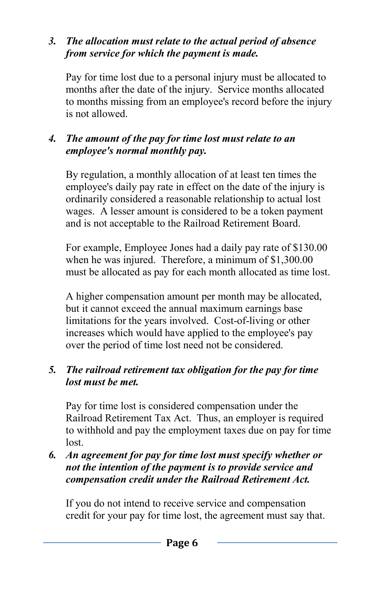#### *3. The allocation must relate to the actual period of absence from service for which the payment is made.*

Pay for time lost due to a personal injury must be allocated to months after the date of the injury. Service months allocated to months missing from an employee's record before the injury is not allowed.

## *4. The amount of the pay for time lost must relate to an employee's normal monthly pay.*

By regulation, a monthly allocation of at least ten times the employee's daily pay rate in effect on the date of the injury is ordinarily considered a reasonable relationship to actual lost wages. A lesser amount is considered to be a token payment and is not acceptable to the Railroad Retirement Board.

For example, Employee Jones had a daily pay rate of \$130.00 when he was injured. Therefore, a minimum of \$1,300.00 must be allocated as pay for each month allocated as time lost.

A higher compensation amount per month may be allocated, but it cannot exceed the annual maximum earnings base limitations for the years involved. Cost-of-living or other increases which would have applied to the employee's pay over the period of time lost need not be considered.

## *5. The railroad retirement tax obligation for the pay for time lost must be met.*

Pay for time lost is considered compensation under the Railroad Retirement Tax Act. Thus, an employer is required to withhold and pay the employment taxes due on pay for time lost.

#### *6. An agreement for pay for time lost must specify whether or not the intention of the payment is to provide service and compensation credit under the Railroad Retirement Act.*

If you do not intend to receive service and compensation credit for your pay for time lost, the agreement must say that.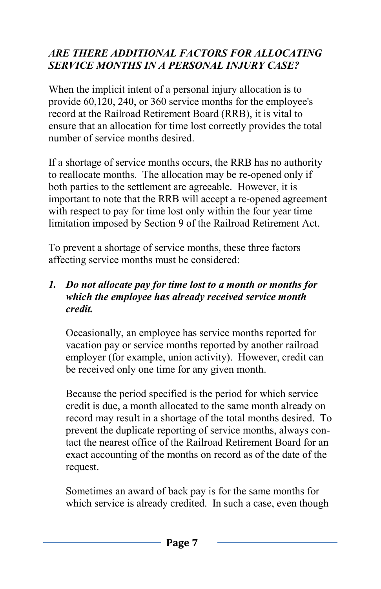## *ARE THERE ADDITIONAL FACTORS FOR ALLOCATING SERVICE MONTHS IN A PERSONAL INJURY CASE?*

When the implicit intent of a personal injury allocation is to provide 60,120, 240, or 360 service months for the employee's record at the Railroad Retirement Board (RRB), it is vital to ensure that an allocation for time lost correctly provides the total number of service months desired.

If a shortage of service months occurs, the RRB has no authority to reallocate months. The allocation may be re-opened only if both parties to the settlement are agreeable. However, it is important to note that the RRB will accept a re-opened agreement with respect to pay for time lost only within the four year time limitation imposed by Section 9 of the Railroad Retirement Act.

To prevent a shortage of service months, these three factors affecting service months must be considered:

#### *1. Do not allocate pay for time lost to a month or months for which the employee has already received service month credit.*

Occasionally, an employee has service months reported for vacation pay or service months reported by another railroad employer (for example, union activity). However, credit can be received only one time for any given month.

Because the period specified is the period for which service credit is due, a month allocated to the same month already on record may result in a shortage of the total months desired. To prevent the duplicate reporting of service months, always contact the nearest office of the Railroad Retirement Board for an exact accounting of the months on record as of the date of the request.

Sometimes an award of back pay is for the same months for which service is already credited. In such a case, even though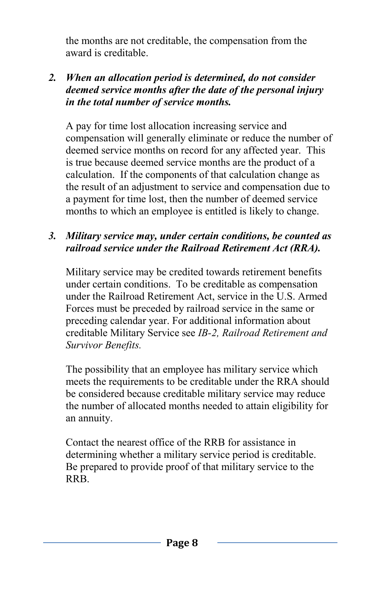the months are not creditable, the compensation from the award is creditable.

#### *2. When an allocation period is determined, do not consider deemed service months after the date of the personal injury in the total number of service months.*

A pay for time lost allocation increasing service and compensation will generally eliminate or reduce the number of deemed service months on record for any affected year. This is true because deemed service months are the product of a calculation. If the components of that calculation change as the result of an adjustment to service and compensation due to a payment for time lost, then the number of deemed service months to which an employee is entitled is likely to change.

#### *3. Military service may, under certain conditions, be counted as railroad service under the Railroad Retirement Act (RRA).*

Military service may be credited towards retirement benefits under certain conditions. To be creditable as compensation under the Railroad Retirement Act, service in the U.S. Armed Forces must be preceded by railroad service in the same or preceding calendar year. For additional information about creditable Military Service see *IB-2, Railroad Retirement and Survivor Benefits.*

The possibility that an employee has military service which meets the requirements to be creditable under the RRA should be considered because creditable military service may reduce the number of allocated months needed to attain eligibility for an annuity.

Contact the nearest office of the RRB for assistance in determining whether a military service period is creditable. Be prepared to provide proof of that military service to the RRB.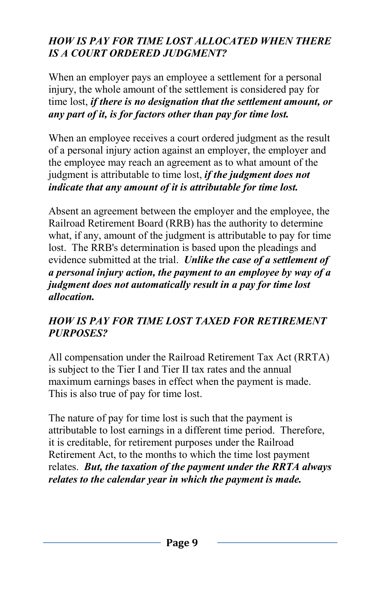### *HOW IS PAY FOR TIME LOST ALLOCATED WHEN THERE IS A COURT ORDERED JUDGMENT?*

When an employer pays an employee a settlement for a personal injury, the whole amount of the settlement is considered pay for time lost, *if there is no designation that the settlement amount, or any part of it, is for factors other than pay for time lost.*

When an employee receives a court ordered judgment as the result of a personal injury action against an employer, the employer and the employee may reach an agreement as to what amount of the judgment is attributable to time lost, *if the judgment does not indicate that any amount of it is attributable for time lost.*

Absent an agreement between the employer and the employee, the Railroad Retirement Board (RRB) has the authority to determine what, if any, amount of the judgment is attributable to pay for time lost. The RRB's determination is based upon the pleadings and evidence submitted at the trial. *Unlike the case of a settlement of a personal injury action, the payment to an employee by way of a judgment does not automatically result in a pay for time lost allocation.*

## *HOW IS PAY FOR TIME LOST TAXED FOR RETIREMENT PURPOSES?*

All compensation under the Railroad Retirement Tax Act (RRTA) is subject to the Tier I and Tier II tax rates and the annual maximum earnings bases in effect when the payment is made. This is also true of pay for time lost.

The nature of pay for time lost is such that the payment is attributable to lost earnings in a different time period. Therefore, it is creditable, for retirement purposes under the Railroad Retirement Act, to the months to which the time lost payment relates. *But, the taxation of the payment under the RRTA always relates to the calendar year in which the payment is made.*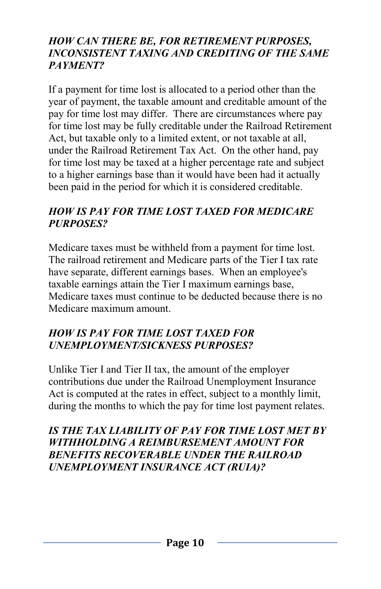#### *HOW CAN THERE BE, FOR RETIREMENT PURPOSES, INCONSISTENT TAXING AND CREDITING OF THE SAME PAYMENT?*

If a payment for time lost is allocated to a period other than the year of payment, the taxable amount and creditable amount of the pay for time lost may differ. There are circumstances where pay for time lost may be fully creditable under the Railroad Retirement Act, but taxable only to a limited extent, or not taxable at all, under the Railroad Retirement Tax Act. On the other hand, pay for time lost may be taxed at a higher percentage rate and subject to a higher earnings base than it would have been had it actually been paid in the period for which it is considered creditable.

#### *HOW IS PAY FOR TIME LOST TAXED FOR MEDICARE PURPOSES?*

Medicare taxes must be withheld from a payment for time lost. The railroad retirement and Medicare parts of the Tier I tax rate have separate, different earnings bases. When an employee's taxable earnings attain the Tier I maximum earnings base, Medicare taxes must continue to be deducted because there is no Medicare maximum amount.

## *HOW IS PAY FOR TIME LOST TAXED FOR UNEMPLOYMENT/SICKNESS PURPOSES?*

Unlike Tier I and Tier II tax, the amount of the employer contributions due under the Railroad Unemployment Insurance Act is computed at the rates in effect, subject to a monthly limit, during the months to which the pay for time lost payment relates.

#### *IS THE TAX LIABILITY OF PAY FOR TIME LOST MET BY WITHHOLDING A REIMBURSEMENT AMOUNT FOR BENEFITS RECOVERABLE UNDER THE RAILROAD UNEMPLOYMENT INSURANCE ACT (RUIA)?*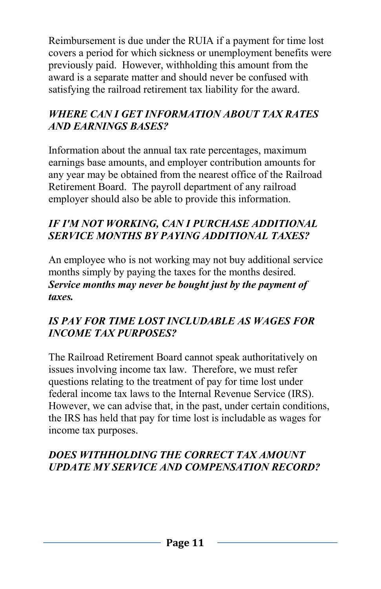Reimbursement is due under the RUIA if a payment for time lost covers a period for which sickness or unemployment benefits were previously paid. However, withholding this amount from the award is a separate matter and should never be confused with satisfying the railroad retirement tax liability for the award.

## *WHERE CAN I GET INFORMATION ABOUT TAX RATES AND EARNINGS BASES?*

Information about the annual tax rate percentages, maximum earnings base amounts, and employer contribution amounts for any year may be obtained from the nearest office of the Railroad Retirement Board. The payroll department of any railroad employer should also be able to provide this information.

#### *IF I'M NOT WORKING, CAN I PURCHASE ADDITIONAL SERVICE MONTHS BY PAYING ADDITIONAL TAXES?*

An employee who is not working may not buy additional service months simply by paying the taxes for the months desired. *Service months may never be bought just by the payment of taxes.*

## *IS PAY FOR TIME LOST INCLUDABLE AS WAGES FOR INCOME TAX PURPOSES?*

The Railroad Retirement Board cannot speak authoritatively on issues involving income tax law. Therefore, we must refer questions relating to the treatment of pay for time lost under federal income tax laws to the Internal Revenue Service (IRS). However, we can advise that, in the past, under certain conditions, the IRS has held that pay for time lost is includable as wages for income tax purposes.

# *DOES WITHHOLDING THE CORRECT TAX AMOUNT UPDATE MY SERVICE AND COMPENSATION RECORD?*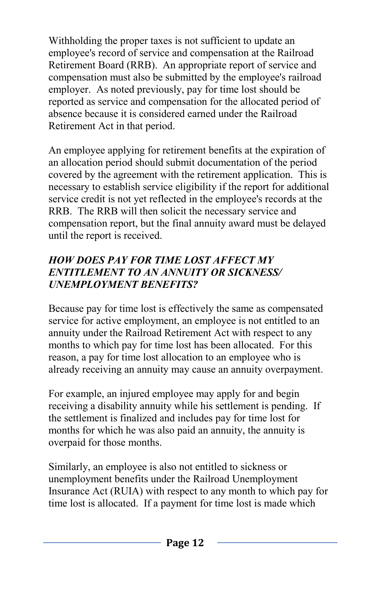Withholding the proper taxes is not sufficient to update an employee's record of service and compensation at the Railroad Retirement Board (RRB). An appropriate report of service and compensation must also be submitted by the employee's railroad employer. As noted previously, pay for time lost should be reported as service and compensation for the allocated period of absence because it is considered earned under the Railroad Retirement Act in that period.

An employee applying for retirement benefits at the expiration of an allocation period should submit documentation of the period covered by the agreement with the retirement application. This is necessary to establish service eligibility if the report for additional service credit is not yet reflected in the employee's records at the RRB. The RRB will then solicit the necessary service and compensation report, but the final annuity award must be delayed until the report is received.

## *HOW DOES PAY FOR TIME LOST AFFECT MY ENTITLEMENT TO AN ANNUITY OR SICKNESS/ UNEMPLOYMENT BENEFITS?*

Because pay for time lost is effectively the same as compensated service for active employment, an employee is not entitled to an annuity under the Railroad Retirement Act with respect to any months to which pay for time lost has been allocated. For this reason, a pay for time lost allocation to an employee who is already receiving an annuity may cause an annuity overpayment.

For example, an injured employee may apply for and begin receiving a disability annuity while his settlement is pending. If the settlement is finalized and includes pay for time lost for months for which he was also paid an annuity, the annuity is overpaid for those months.

Similarly, an employee is also not entitled to sickness or unemployment benefits under the Railroad Unemployment Insurance Act (RUIA) with respect to any month to which pay for time lost is allocated. If a payment for time lost is made which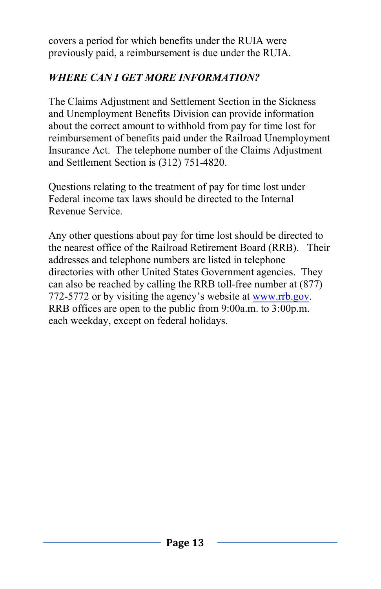covers a period for which benefits under the RUIA were previously paid, a reimbursement is due under the RUIA.

# *WHERE CAN I GET MORE INFORMATION?*

The Claims Adjustment and Settlement Section in the Sickness and Unemployment Benefits Division can provide information about the correct amount to withhold from pay for time lost for reimbursement of benefits paid under the Railroad Unemployment Insurance Act. The telephone number of the Claims Adjustment and Settlement Section is (312) 751-4820.

Questions relating to the treatment of pay for time lost under Federal income tax laws should be directed to the Internal Revenue Service.

Any other questions about pay for time lost should be directed to the nearest office of the Railroad Retirement Board (RRB). Their addresses and telephone numbers are listed in telephone directories with other United States Government agencies. They can also be reached by calling the RRB toll-free number at (877) 772-5772 or by visiting the agency's website at [www.rrb.gov.](http://www.rrb.gov/) RRB offices are open to the public from 9:00a.m. to 3:00p.m. each weekday, except on federal holidays.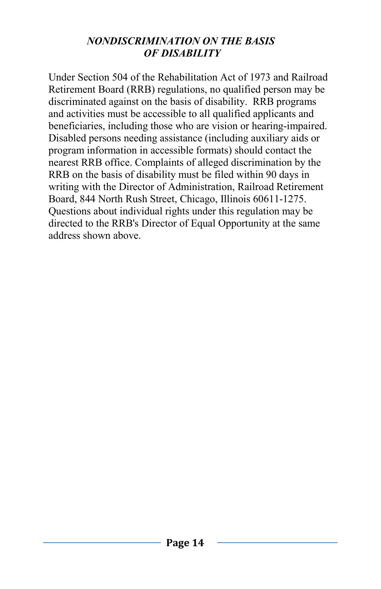#### *NONDISCRIMINATION ON THE BASIS OF DISABILITY*

Under Section 504 of the Rehabilitation Act of 1973 and Railroad Retirement Board (RRB) regulations, no qualified person may be discriminated against on the basis of disability. RRB programs and activities must be accessible to all qualified applicants and beneficiaries, including those who are vision or hearing-impaired. Disabled persons needing assistance (including auxiliary aids or program information in accessible formats) should contact the nearest RRB office. Complaints of alleged discrimination by the RRB on the basis of disability must be filed within 90 days in writing with the Director of Administration, Railroad Retirement Board, 844 North Rush Street, Chicago, Illinois 60611-1275. Questions about individual rights under this regulation may be directed to the RRB's Director of Equal Opportunity at the same address shown above.